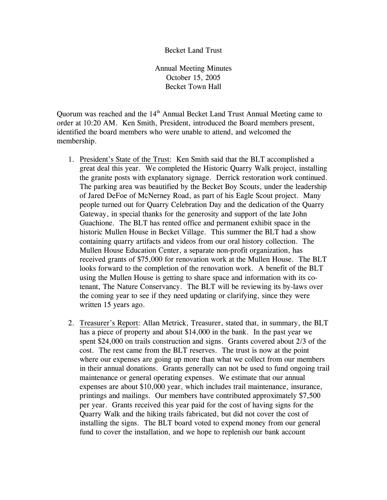## Becket Land Trust

Annual Meeting Minutes October 15, 2005 Becket Town Hall

Quorum was reached and the 14<sup>th</sup> Annual Becket Land Trust Annual Meeting came to order at 10:20 AM. Ken Smith, President, introduced the Board members present, identified the board members who were unable to attend, and welcomed the membership.

- 1. President's State of the Trust: Ken Smith said that the BLT accomplished a great deal this year. We completed the Historic Quarry Walk project, installing the granite posts with explanatory signage. Derrick restoration work continued. The parking area was beautified by the Becket Boy Scouts, under the leadership of Jared DeFoe of McNerney Road, as part of his Eagle Scout project. Many people turned out for Quarry Celebration Day and the dedication of the Quarry Gateway, in special thanks for the generosity and support of the late John Guachione. The BLT has rented office and permanent exhibit space in the historic Mullen House in Becket Village. This summer the BLT had a show containing quarry artifacts and videos from our oral history collection. The Mullen House Education Center, a separate non-profit organization, has received grants of \$75,000 for renovation work at the Mullen House. The BLT looks forward to the completion of the renovation work. A benefit of the BLT using the Mullen House is getting to share space and information with its cotenant, The Nature Conservancy. The BLT will be reviewing its by-laws over the coming year to see if they need updating or clarifying, since they were written 15 years ago.
- 2. Treasurer's Report: Allan Metrick, Treasurer, stated that, in summary, the BLT has a piece of property and about \$14,000 in the bank. In the past year we spent \$24,000 on trails construction and signs. Grants covered about 2/3 of the cost. The rest came from the BLT reserves. The trust is now at the point where our expenses are going up more than what we collect from our members in their annual donations. Grants generally can not be used to fund ongoing trail maintenance or general operating expenses. We estimate that our annual expenses are about \$10,000 year, which includes trail maintenance, insurance, printings and mailings. Our members have contributed approximately \$7,500 per year. Grants received this year paid for the cost of having signs for the Quarry Walk and the hiking trails fabricated, but did not cover the cost of installing the signs. The BLT board voted to expend money from our general fund to cover the installation, and we hope to replenish our bank account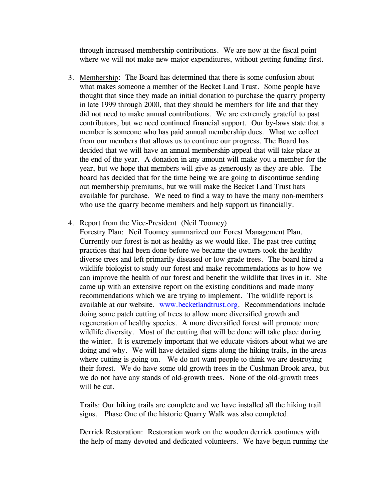through increased membership contributions. We are now at the fiscal point where we will not make new major expenditures, without getting funding first.

- 3. Membership: The Board has determined that there is some confusion about what makes someone a member of the Becket Land Trust. Some people have thought that since they made an initial donation to purchase the quarry property in late 1999 through 2000, that they should be members for life and that they did not need to make annual contributions. We are extremely grateful to past contributors, but we need continued financial support. Our by-laws state that a member is someone who has paid annual membership dues. What we collect from our members that allows us to continue our progress. The Board has decided that we will have an annual membership appeal that will take place at the end of the year. A donation in any amount will make you a member for the year, but we hope that members will give as generously as they are able. The board has decided that for the time being we are going to discontinue sending out membership premiums, but we will make the Becket Land Trust hats available for purchase. We need to find a way to have the many non-members who use the quarry become members and help support us financially.
- 4. Report from the Vice-President (Neil Toomey)

Forestry Plan: Neil Toomey summarized our Forest Management Plan. Currently our forest is not as healthy as we would like. The past tree cutting practices that had been done before we became the owners took the healthy diverse trees and left primarily diseased or low grade trees. The board hired a wildlife biologist to study our forest and make recommendations as to how we can improve the health of our forest and benefit the wildlife that lives in it. She came up with an extensive report on the existing conditions and made many recommendations which we are trying to implement. The wildlife report is available at our website. www.becketlandtrust.org. Recommendations include doing some patch cutting of trees to allow more diversified growth and regeneration of healthy species. A more diversified forest will promote more wildlife diversity. Most of the cutting that will be done will take place during the winter. It is extremely important that we educate visitors about what we are doing and why. We will have detailed signs along the hiking trails, in the areas where cutting is going on. We do not want people to think we are destroying their forest. We do have some old growth trees in the Cushman Brook area, but we do not have any stands of old-growth trees. None of the old-growth trees will be cut.

Trails: Our hiking trails are complete and we have installed all the hiking trail signs. Phase One of the historic Quarry Walk was also completed.

Derrick Restoration: Restoration work on the wooden derrick continues with the help of many devoted and dedicated volunteers. We have begun running the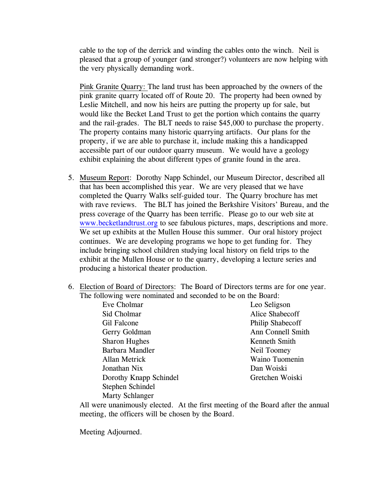cable to the top of the derrick and winding the cables onto the winch. Neil is pleased that a group of younger (and stronger?) volunteers are now helping with the very physically demanding work.

Pink Granite Quarry: The land trust has been approached by the owners of the pink granite quarry located off of Route 20. The property had been owned by Leslie Mitchell, and now his heirs are putting the property up for sale, but would like the Becket Land Trust to get the portion which contains the quarry and the rail-grades. The BLT needs to raise \$45,000 to purchase the property. The property contains many historic quarrying artifacts. Our plans for the property, if we are able to purchase it, include making this a handicapped accessible part of our outdoor quarry museum. We would have a geology exhibit explaining the about different types of granite found in the area.

- 5. Museum Report: Dorothy Napp Schindel, our Museum Director, described all that has been accomplished this year. We are very pleased that we have completed the Quarry Walks self-guided tour. The Quarry brochure has met with rave reviews. The BLT has joined the Berkshire Visitors' Bureau, and the press coverage of the Quarry has been terrific. Please go to our web site at www.becketlandtrust.org to see fabulous pictures, maps, descriptions and more. We set up exhibits at the Mullen House this summer. Our oral history project continues. We are developing programs we hope to get funding for. They include bringing school children studying local history on field trips to the exhibit at the Mullen House or to the quarry, developing a lecture series and producing a historical theater production.
- 6. Election of Board of Directors: The Board of Directors terms are for one year. The following were nominated and seconded to be on the Board:

| Eve Cholmar            | Leo Seligson      |
|------------------------|-------------------|
| Sid Cholmar            | Alice Shabecoff   |
| Gil Falcone            | Philip Shabecoff  |
| Gerry Goldman          | Ann Connell Smith |
| <b>Sharon Hughes</b>   | Kenneth Smith     |
| Barbara Mandler        | Neil Toomey       |
| Allan Metrick          | Waino Tuomenin    |
| Jonathan Nix           | Dan Woiski        |
| Dorothy Knapp Schindel | Gretchen Woiski   |
| Stephen Schindel       |                   |
| <b>Marty Schlanger</b> |                   |

All were unanimously elected. At the first meeting of the Board after the annual meeting, the officers will be chosen by the Board.

Meeting Adjourned.